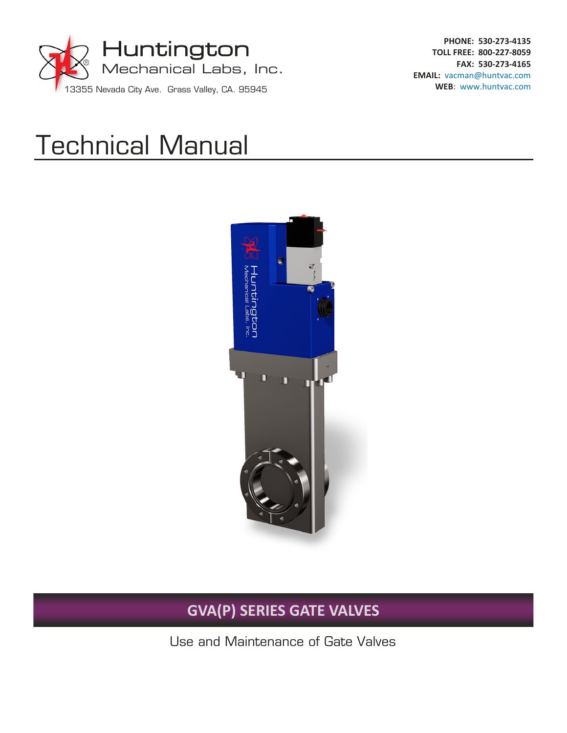

**PHONE: 530‐273‐4135 TOLL FREE: 800‐227‐8059 FAX: 530‐273‐4165 EMAIL:** vacman@huntvac.com **WEB**: www.huntvac.com

# Technical Manual



## **GVA(P) SERIES GATE VALVES**

Use and Maintenance of Gate Valves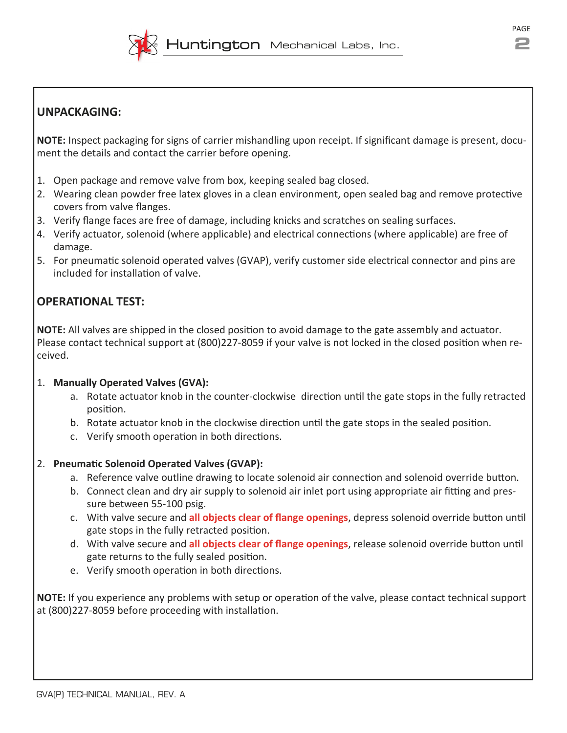

## **UNPACKAGING:**

**NOTE:** Inspect packaging for signs of carrier mishandling upon receipt. If significant damage is present, document the details and contact the carrier before opening.

- 1. Open package and remove valve from box, keeping sealed bag closed.
- 2. Wearing clean powder free latex gloves in a clean environment, open sealed bag and remove protective covers from valve flanges.
- 3. Verify flange faces are free of damage, including knicks and scratches on sealing surfaces.
- 4. Verify actuator, solenoid (where applicable) and electrical connections (where applicable) are free of damage.
- 5. For pneumaƟc solenoid operated valves (GVAP), verify customer side electrical connector and pins are included for installation of valve.

## **OPERATIONAL TEST:**

**NOTE:** All valves are shipped in the closed position to avoid damage to the gate assembly and actuator. Please contact technical support at (800)227-8059 if your valve is not locked in the closed position when received.

#### 1. **Manually Operated Valves (GVA):**

- a. Rotate actuator knob in the counter-clockwise direction until the gate stops in the fully retracted position.
- b. Rotate actuator knob in the clockwise direction until the gate stops in the sealed position.
- c. Verify smooth operation in both directions.

#### 2. **PneumaƟc Solenoid Operated Valves (GVAP):**

- a. Reference valve outline drawing to locate solenoid air connection and solenoid override button.
- b. Connect clean and dry air supply to solenoid air inlet port using appropriate air fitting and pressure between 55‐100 psig.
- c. With valve secure and **all objects clear of flange openings**, depress solenoid override buƩon unƟl gate stops in the fully retracted position.
- d. With valve secure and **all objects clear of flange openings**, release solenoid override buƩon unƟl gate returns to the fully sealed position.
- e. Verify smooth operation in both directions.

**NOTE:** If you experience any problems with setup or operation of the valve, please contact technical support at (800)227-8059 before proceeding with installation.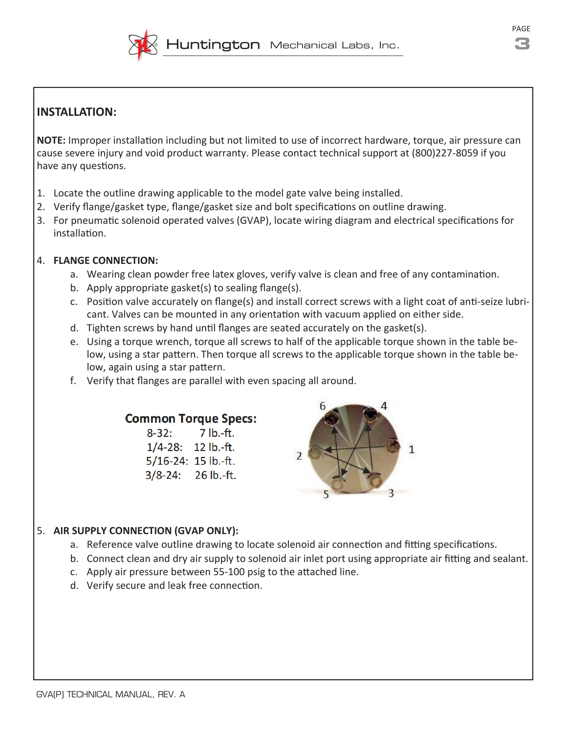

## **INSTALLATION:**

**NOTE:** Improper installation including but not limited to use of incorrect hardware, torque, air pressure can cause severe injury and void product warranty. Please contact technical support at (800)227‐8059 if you have any questions.

- 1. Locate the outline drawing applicable to the model gate valve being installed.
- 2. Verify flange/gasket type, flange/gasket size and bolt specifications on outline drawing.
- 3. For pneumatic solenoid operated valves (GVAP), locate wiring diagram and electrical specifications for installation.

#### 4. **FLANGE CONNECTION:**

- a. Wearing clean powder free latex gloves, verify valve is clean and free of any contamination.
- b. Apply appropriate gasket(s) to sealing flange(s).
- c. Position valve accurately on flange(s) and install correct screws with a light coat of anti-seize lubricant. Valves can be mounted in any orientation with vacuum applied on either side.
- d. Tighten screws by hand until flanges are seated accurately on the gasket(s).
- e. Using a torque wrench, torque all screws to half of the applicable torque shown in the table be‐ low, using a star pattern. Then torque all screws to the applicable torque shown in the table below, again using a star pattern.
- f. Verify that flanges are parallel with even spacing all around.

#### **Common Torque Specs:**

 $8 - 32:$  $7 lb.-ft.$  $1/4 - 28$ : 12 lb.-ft. 5/16-24: 15 lb.-ft. 3/8-24: 26 lb.-ft.



#### 5. **AIR SUPPLY CONNECTION (GVAP ONLY):**

- a. Reference valve outline drawing to locate solenoid air connection and fitting specifications.
- b. Connect clean and dry air supply to solenoid air inlet port using appropriate air fitting and sealant.
- c. Apply air pressure between 55-100 psig to the attached line.
- d. Verify secure and leak free connection.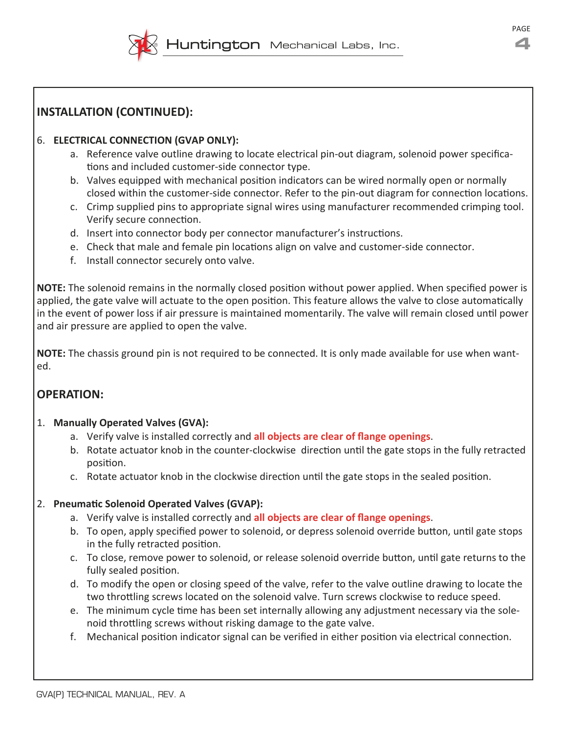

## **INSTALLATION (CONTINUED):**

#### 6. **ELECTRICAL CONNECTION (GVAP ONLY):**

- a. Reference valve outline drawing to locate electrical pin-out diagram, solenoid power specifications and included customer-side connector type.
- b. Valves equipped with mechanical position indicators can be wired normally open or normally closed within the customer-side connector. Refer to the pin-out diagram for connection locations.
- c. Crimp supplied pins to appropriate signal wires using manufacturer recommended crimping tool. Verify secure connection.
- d. Insert into connector body per connector manufacturer's instructions.
- e. Check that male and female pin locations align on valve and customer-side connector.
- f. Install connector securely onto valve.

**NOTE:** The solenoid remains in the normally closed position without power applied. When specified power is applied, the gate valve will actuate to the open position. This feature allows the valve to close automatically in the event of power loss if air pressure is maintained momentarily. The valve will remain closed until power and air pressure are applied to open the valve.

**NOTE:** The chassis ground pin is not required to be connected. It is only made available for use when want‐ ed.

## **OPERATION:**

#### 1. **Manually Operated Valves (GVA):**

- a. Verify valve is installed correctly and **all objects are clear of flange openings**.
- b. Rotate actuator knob in the counter-clockwise direction until the gate stops in the fully retracted position.
- c. Rotate actuator knob in the clockwise direction until the gate stops in the sealed position.

#### 2. **PneumaƟc Solenoid Operated Valves (GVAP):**

- a. Verify valve is installed correctly and **all objects are clear of flange openings**.
- b. To open, apply specified power to solenoid, or depress solenoid override button, until gate stops in the fully retracted position.
- c. To close, remove power to solenoid, or release solenoid override button, until gate returns to the fully sealed position.
- d. To modify the open or closing speed of the valve, refer to the valve outline drawing to locate the two throttling screws located on the solenoid valve. Turn screws clockwise to reduce speed.
- e. The minimum cycle time has been set internally allowing any adjustment necessary via the solenoid throttling screws without risking damage to the gate valve.
- f. Mechanical position indicator signal can be verified in either position via electrical connection.

PAGE **4**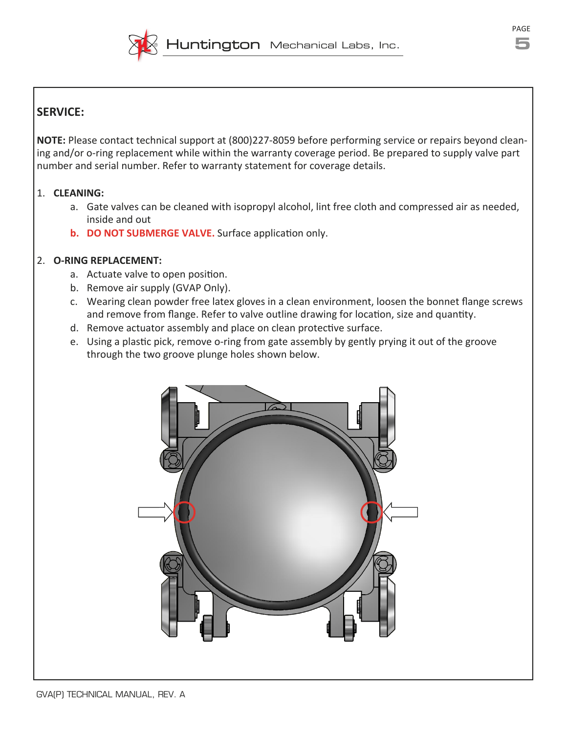

## **SERVICE:**

**NOTE:** Please contact technical support at (800)227‐8059 before performing service or repairs beyond clean‐ ing and/or o-ring replacement while within the warranty coverage period. Be prepared to supply valve part number and serial number. Refer to warranty statement for coverage details.

#### 1. **CLEANING:**

- a. Gate valves can be cleaned with isopropyl alcohol, lint free cloth and compressed air as needed, inside and out
- **b. DO NOT SUBMERGE VALVE.** Surface application only.

#### 2. **O‐RING REPLACEMENT:**

- a. Actuate valve to open position.
- b. Remove air supply (GVAP Only).
- c. Wearing clean powder free latex gloves in a clean environment, loosen the bonnet flange screws and remove from flange. Refer to valve outline drawing for location, size and quantity.
- d. Remove actuator assembly and place on clean protective surface.
- e. Using a plastic pick, remove o-ring from gate assembly by gently prying it out of the groove through the two groove plunge holes shown below.